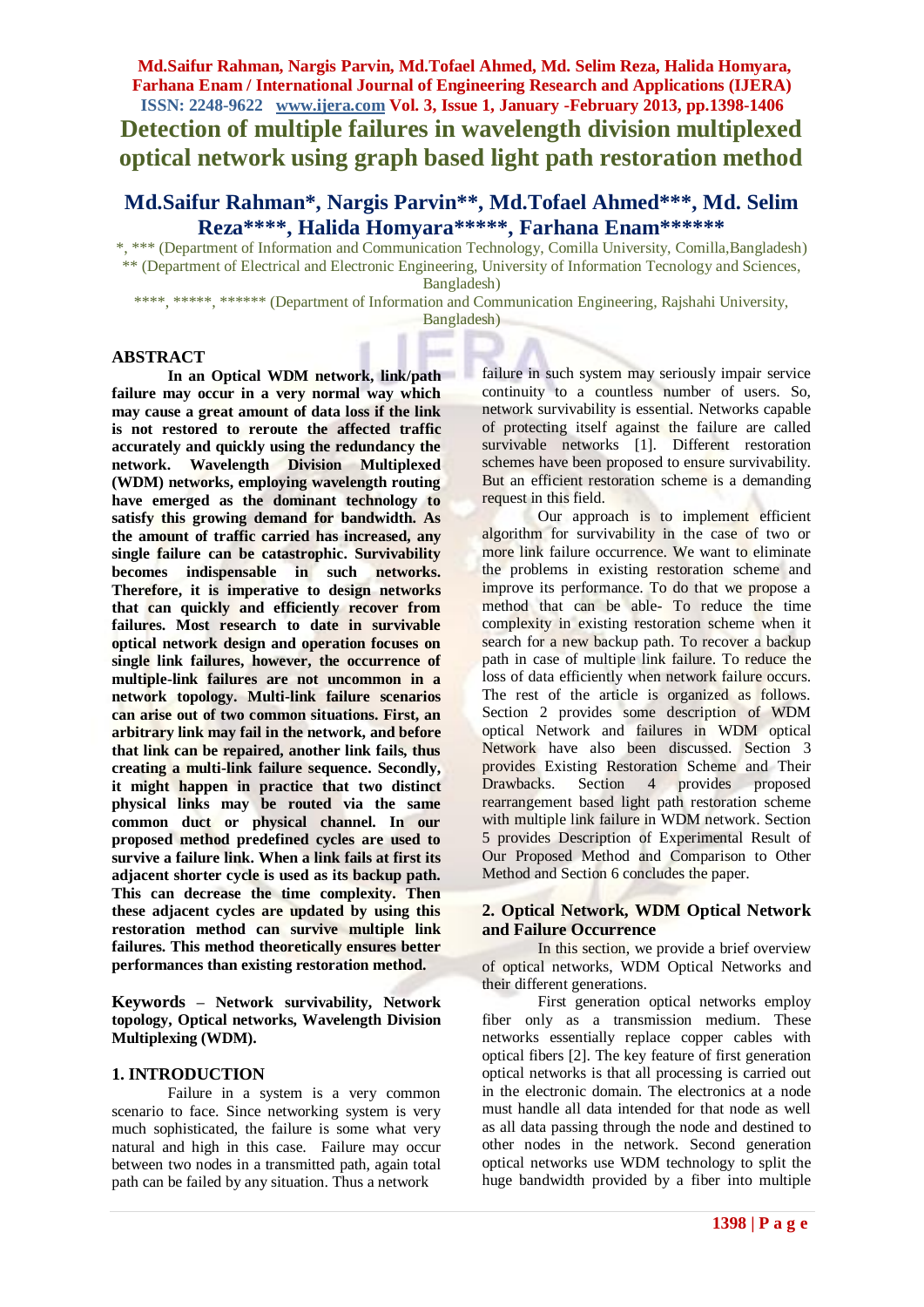**Detection of multiple failures in wavelength division multiplexed optical network using graph based light path restoration method**

# **Md.Saifur Rahman\*, Nargis Parvin\*\*, Md.Tofael Ahmed\*\*\*, Md. Selim Reza\*\*\*\*, Halida Homyara\*\*\*\*\*, Farhana Enam\*\*\*\*\*\***

\*, \*\*\* (Department of Information and Communication Technology, Comilla University, Comilla,Bangladesh) \*\* (Department of Electrical and Electronic Engineering, University of Information Tecnology and Sciences, Bangladesh)

\*\*\*\*, \*\*\*\*\*, \*\*\*\*\*\* (Department of Information and Communication Engineering, Rajshahi University,

#### Bangladesh)

### **ABSTRACT**

**In an Optical WDM network, link/path failure may occur in a very normal way which may cause a great amount of data loss if the link is not restored to reroute the affected traffic accurately and quickly using the redundancy the network. Wavelength Division Multiplexed (WDM) networks, employing wavelength routing have emerged as the dominant technology to satisfy this growing demand for bandwidth. As the amount of traffic carried has increased, any single failure can be catastrophic. Survivability becomes indispensable in such networks. Therefore, it is imperative to design networks that can quickly and efficiently recover from failures. Most research to date in survivable optical network design and operation focuses on single link failures, however, the occurrence of multiple-link failures are not uncommon in a network topology. Multi-link failure scenarios can arise out of two common situations. First, an arbitrary link may fail in the network, and before that link can be repaired, another link fails, thus creating a multi-link failure sequence. Secondly, it might happen in practice that two distinct physical links may be routed via the same common duct or physical channel. In our proposed method predefined cycles are used to survive a failure link. When a link fails at first its adjacent shorter cycle is used as its backup path. This can decrease the time complexity. Then these adjacent cycles are updated by using this restoration method can survive multiple link failures. This method theoretically ensures better performances than existing restoration method.** 

**Keywords – Network survivability, Network topology, Optical networks, Wavelength Division Multiplexing (WDM).**

### **1. INTRODUCTION**

Failure in a system is a very common scenario to face. Since networking system is very much sophisticated, the failure is some what very natural and high in this case. Failure may occur between two nodes in a transmitted path, again total path can be failed by any situation. Thus a network

failure in such system may seriously impair service continuity to a countless number of users. So, network survivability is essential. Networks capable of protecting itself against the failure are called survivable networks [1]. Different restoration schemes have been proposed to ensure survivability. But an efficient restoration scheme is a demanding request in this field.

Our approach is to implement efficient algorithm for survivability in the case of two or more link failure occurrence. We want to eliminate the problems in existing restoration scheme and improve its performance. To do that we propose a method that can be able- To reduce the time complexity in existing restoration scheme when it search for a new backup path. To recover a backup path in case of multiple link failure. To reduce the loss of data efficiently when network failure occurs. The rest of the article is organized as follows. Section 2 provides some description of WDM optical Network and failures in WDM optical Network have also been discussed. Section 3 provides Existing Restoration Scheme and Their Drawbacks. Section 4 provides proposed rearrangement based light path restoration scheme with multiple link failure in WDM network. Section 5 provides Description of Experimental Result of Our Proposed Method and Comparison to Other Method and Section 6 concludes the paper.

## **2. Optical Network, WDM Optical Network and Failure Occurrence**

In this section, we provide a brief overview of optical networks, WDM Optical Networks and their different generations.

First generation optical networks employ fiber only as a transmission medium. These networks essentially replace copper cables with optical fibers [2]. The key feature of first generation optical networks is that all processing is carried out in the electronic domain. The electronics at a node must handle all data intended for that node as well as all data passing through the node and destined to other nodes in the network. Second generation optical networks use WDM technology to split the huge bandwidth provided by a fiber into multiple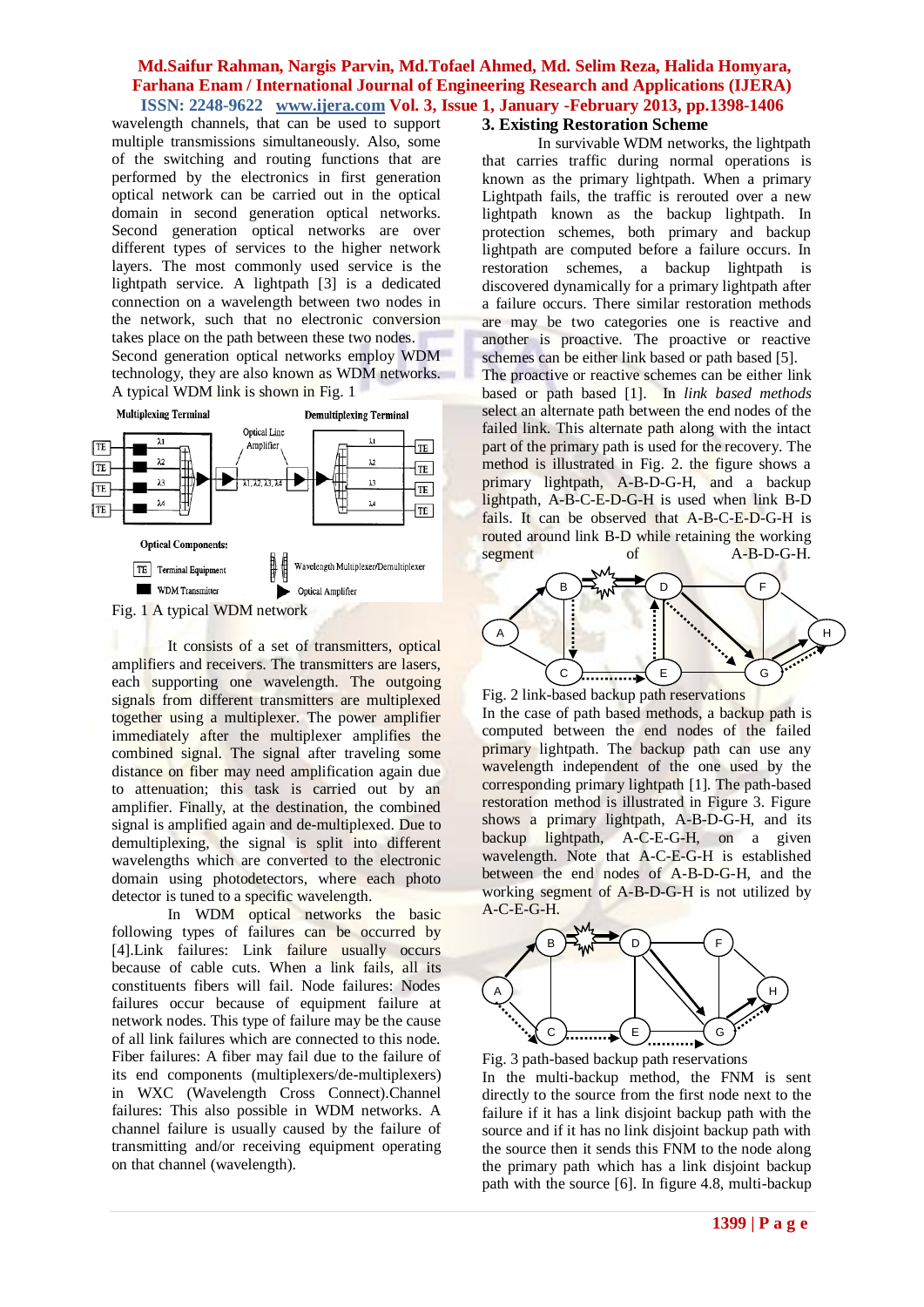wavelength channels, that can be used to support multiple transmissions simultaneously. Also, some of the switching and routing functions that are performed by the electronics in first generation optical network can be carried out in the optical domain in second generation optical networks. Second generation optical networks are over different types of services to the higher network layers. The most commonly used service is the lightpath service. A lightpath [3] is a dedicated connection on a wavelength between two nodes in the network, such that no electronic conversion takes place on the path between these two nodes. Second generation optical networks employ WDM technology, they are also known as WDM networks. A typical WDM link is shown in Fig. 1





It consists of a set of transmitters, optical amplifiers and receivers. The transmitters are lasers, each supporting one wavelength. The outgoing signals from different transmitters are multiplexed together using a multiplexer. The power amplifier immediately after the multiplexer amplifies the combined signal. The signal after traveling some distance on fiber may need amplification again due to attenuation; this task is carried out by an amplifier. Finally, at the destination, the combined signal is amplified again and de-multiplexed. Due to demultiplexing, the signal is split into different wavelengths which are converted to the electronic domain using photodetectors, where each photo detector is tuned to a specific wavelength.

In WDM optical networks the basic following types of failures can be occurred by [4].Link failures: Link failure usually occurs because of cable cuts. When a link fails, all its constituents fibers will fail. Node failures: Nodes failures occur because of equipment failure at network nodes. This type of failure may be the cause of all link failures which are connected to this node. Fiber failures: A fiber may fail due to the failure of its end components (multiplexers/de-multiplexers) in WXC (Wavelength Cross Connect).Channel failures: This also possible in WDM networks. A channel failure is usually caused by the failure of transmitting and/or receiving equipment operating on that channel (wavelength).

### **3. Existing Restoration Scheme**

In survivable WDM networks, the lightpath that carries traffic during normal operations is known as the primary lightpath. When a primary Lightpath fails, the traffic is rerouted over a new lightpath known as the backup lightpath. In protection schemes, both primary and backup lightpath are computed before a failure occurs. In restoration schemes, a backup lightpath is discovered dynamically for a primary lightpath after a failure occurs. There similar restoration methods are may be two categories one is reactive and another is proactive. The proactive or reactive schemes can be either link based or path based [5].

The proactive or reactive schemes can be either link based or path based [1]. In *link based methods*  select an alternate path between the end nodes of the failed link. This alternate path along with the intact part of the primary path is used for the recovery. The method is illustrated in Fig. 2. the figure shows a primary lightpath, A-B-D-G-H, and a backup lightpath, A-B-C-E-D-G-H is used when link B-D fails. It can be observed that A-B-C-E-D-G-H is routed around link B-D while retaining the working segment of A-B-D-G-H.



Fig. 2 link-based backup path reservations In the case of path based methods, a backup path is computed between the end nodes of the failed primary lightpath. The backup path can use any wavelength independent of the one used by the corresponding primary lightpath [1]. The path-based restoration method is illustrated in Figure 3. Figure shows a primary lightpath, A-B-D-G-H, and its backup lightpath, A-C-E-G-H, on a given wavelength. Note that A-C-E-G-H is established between the end nodes of A-B-D-G-H, and the working segment of A-B-D-G-H is not utilized by A-C-E-G-H.



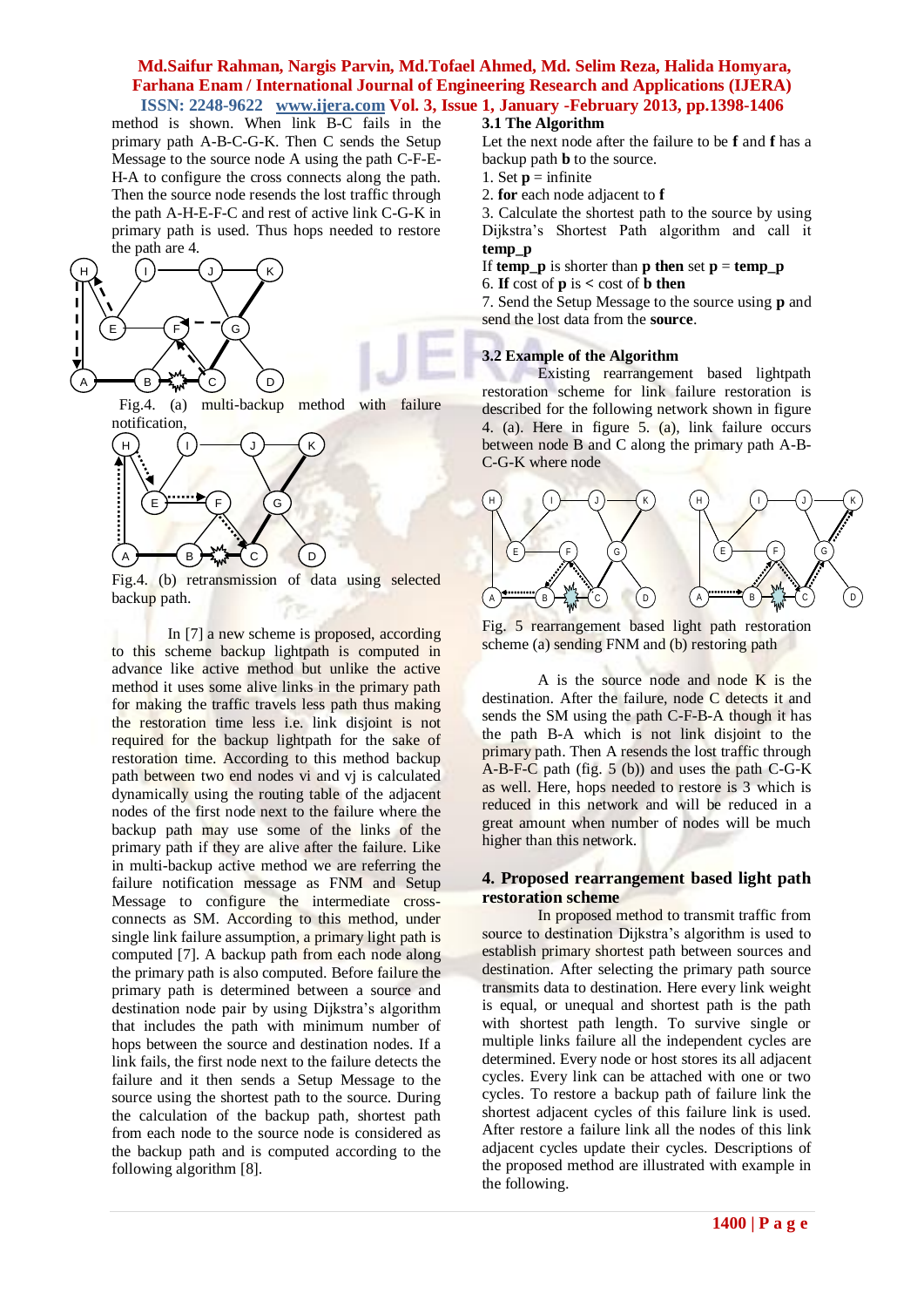method is shown. When link B-C fails in the primary path A-B-C-G-K. Then C sends the Setup Message to the source node A using the path C-F-E-H-A to configure the cross connects along the path. Then the source node resends the lost traffic through the path A-H-E-F-C and rest of active link C-G-K in primary path is used. Thus hops needed to restore the path are 4.



with failure Fig.4. (a) multi-backup method notification,



Fig.4. (b) retransmission of data using selected backup path.

In [7] a new scheme is proposed, according to this scheme backup lightpath is computed in advance like active method but unlike the active method it uses some alive links in the primary path for making the traffic travels less path thus making the restoration time less i.e. link disjoint is not required for the backup lightpath for the sake of restoration time. According to this method backup path between two end nodes vi and vi is calculated dynamically using the routing table of the adjacent nodes of the first node next to the failure where the backup path may use some of the links of the primary path if they are alive after the failure. Like in multi-backup active method we are referring the failure notification message as FNM and Setup Message to configure the intermediate crossconnects as SM. According to this method, under single link failure assumption, a primary light path is computed [7]. A backup path from each node along the primary path is also computed. Before failure the primary path is determined between a source and destination node pair by using Dijkstra's algorithm that includes the path with minimum number of hops between the source and destination nodes. If a link fails, the first node next to the failure detects the failure and it then sends a Setup Message to the source using the shortest path to the source. During the calculation of the backup path, shortest path from each node to the source node is considered as the backup path and is computed according to the following algorithm [8].

## **3.1 The Algorithm**

Let the next node after the failure to be **f** and **f** has a backup path **b** to the source.

- 1. Set  $\mathbf{p} =$  infinite
- 2. **for** each node adjacent to **f**

3. Calculate the shortest path to the source by using Dijkstra's Shortest Path algorithm and call it **temp\_p**

If **temp p** is shorter than **p** then set  $p =$  **temp p** 

6. **If**  $\cos t$  of **p** is  $\cos t$  of **b** then

7. Send the Setup Message to the source using **p** and send the lost data from the **source**.

#### **3.2 Example of the Algorithm**

Existing rearrangement based lightpath restoration scheme for link failure restoration is described for the following network shown in figure 4. (a). Here in figure 5. (a), link failure occurs between node B and C along the primary path A-B-C-G-K where node



Fig. 5 rearrangement based light path restoration scheme (a) sending FNM and (b) restoring path

A is the source node and node K is the destination. After the failure, node C detects it and sends the SM using the path C-F-B-A though it has the path B-A which is not link disjoint to the primary path. Then A resends the lost traffic through A-B-F-C path (fig. 5 (b)) and uses the path C-G-K as well. Here, hops needed to restore is 3 which is reduced in this network and will be reduced in a great amount when number of nodes will be much higher than this network.

### **4. Proposed rearrangement based light path restoration scheme**

In proposed method to transmit traffic from source to destination Dijkstra's algorithm is used to establish primary shortest path between sources and destination. After selecting the primary path source transmits data to destination. Here every link weight is equal, or unequal and shortest path is the path with shortest path length. To survive single or multiple links failure all the independent cycles are determined. Every node or host stores its all adjacent cycles. Every link can be attached with one or two cycles. To restore a backup path of failure link the shortest adjacent cycles of this failure link is used. After restore a failure link all the nodes of this link adjacent cycles update their cycles. Descriptions of the proposed method are illustrated with example in the following.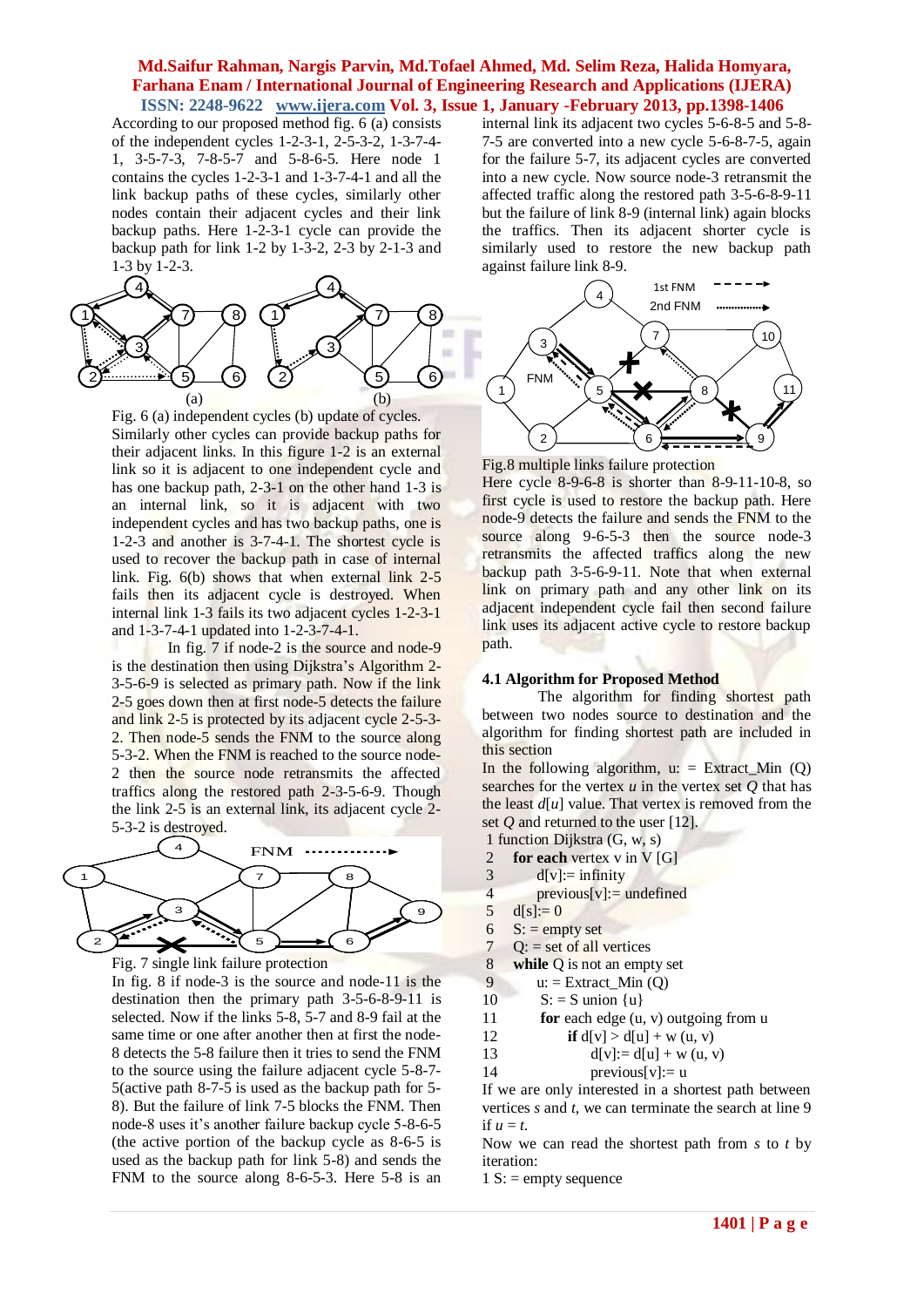According to our proposed method fig. 6 (a) consists of the independent cycles 1-2-3-1, 2-5-3-2, 1-3-7-4- 1, 3-5-7-3, 7-8-5-7 and 5-8-6-5. Here node 1 contains the cycles 1-2-3-1 and 1-3-7-4-1 and all the link backup paths of these cycles, similarly other nodes contain their adjacent cycles and their link backup paths. Here 1-2-3-1 cycle can provide the backup path for link 1-2 by 1-3-2, 2-3 by 2-1-3 and 1-3 by 1-2-3.



Fig. 6 (a) independent cycles (b) update of cycles. Similarly other cycles can provide backup paths for their adjacent links. In this figure 1-2 is an external link so it is adjacent to one independent cycle and has one backup path, 2-3-1 on the other hand 1-3 is an internal link, so it is adjacent with two independent cycles and has two backup paths, one is 1-2-3 and another is 3-7-4-1. The shortest cycle is used to recover the backup path in case of internal link. Fig. 6(b) shows that when external link 2-5 fails then its adjacent cycle is destroyed. When internal link 1-3 fails its two adjacent cycles 1-2-3-1 and 1-3-7-4-1 updated into 1-2-3-7-4-1.

In fig. 7 if node-2 is the source and node-9 is the destination then using Dijkstra's Algorithm 2- 3-5-6-9 is selected as primary path. Now if the link 2-5 goes down then at first node-5 detects the failure and link 2-5 is protected by its adjacent cycle 2-5-3- 2. Then node-5 sends the FNM to the source along 5-3-2. When the FNM is reached to the source node-2 then the source node retransmits the affected traffics along the restored path 2-3-5-6-9. Though the link 2-5 is an external link, its adjacent cycle 2- 5-3-2 is destroyed.



Fig. 7 single link failure protection

In fig. 8 if node-3 is the source and node-11 is the destination then the primary path 3-5-6-8-9-11 is selected. Now if the links 5-8, 5-7 and 8-9 fail at the same time or one after another then at first the node-8 detects the 5-8 failure then it tries to send the FNM to the source using the failure adjacent cycle 5-8-7- 5(active path 8-7-5 is used as the backup path for 5- 8). But the failure of link 7-5 blocks the FNM. Then node-8 uses it's another failure backup cycle 5-8-6-5 (the active portion of the backup cycle as 8-6-5 is used as the backup path for link 5-8) and sends the FNM to the source along 8-6-5-3. Here 5-8 is an

internal link its adjacent two cycles 5-6-8-5 and 5-8- 7-5 are converted into a new cycle 5-6-8-7-5, again for the failure 5-7, its adjacent cycles are converted into a new cycle. Now source node-3 retransmit the affected traffic along the restored path 3-5-6-8-9-11 but the failure of link 8-9 (internal link) again blocks the traffics. Then its adjacent shorter cycle is similarly used to restore the new backup path against failure link 8-9.



Fig.8 multiple links failure protection

Here cycle 8-9-6-8 is shorter than 8-9-11-10-8, so first cycle is used to restore the backup path. Here node-9 detects the failure and sends the FNM to the source along 9-6-5-3 then the source node-3 retransmits the affected traffics along the new backup path 3-5-6-9-11. Note that when external link on primary path and any other link on its adjacent independent cycle fail then second failure link uses its adjacent active cycle to restore backup path.

#### **4.1 Algorithm for Proposed Method**

The algorithm for finding shortest path between two nodes source to destination and the algorithm for finding shortest path are included in this section

In the following algorithm,  $u:$  = Extract Min (Q) searches for the vertex *u* in the vertex set *Q* that has the least  $d[u]$  value. That vertex is removed from the set *Q* and returned to the user [12].

- 1 function Dijkstra (G, w, s)
- 2 **for each** vertex v in V [G]
- $3 \text{ d}[v] := \text{infinity}$
- 4 previous[v]:  $=$  undefined
- $5 \text{ d[s]} := 0$
- 6  $S: =$  empty set
- 7  $Q: = set of all vertices$
- 8 **while** Q is not an empty set
- 9  $u: =$  Extract Min  $(Q)$
- 10  $S: = S$  union  $\{u\}$
- 11 **for** each edge (u, v) outgoing from u
- 12 **if**  $d[v] > d[u] + w(u, v)$
- 13  $d[v] := d[u] + w(u, v)$
- 14 previous[ $v$ ]:= u

If we are only interested in a shortest path between vertices *s* and *t*, we can terminate the search at line 9 if  $u = t$ .

Now we can read the shortest path from *s* to *t* by iteration:

 $1 S$ : = empty sequence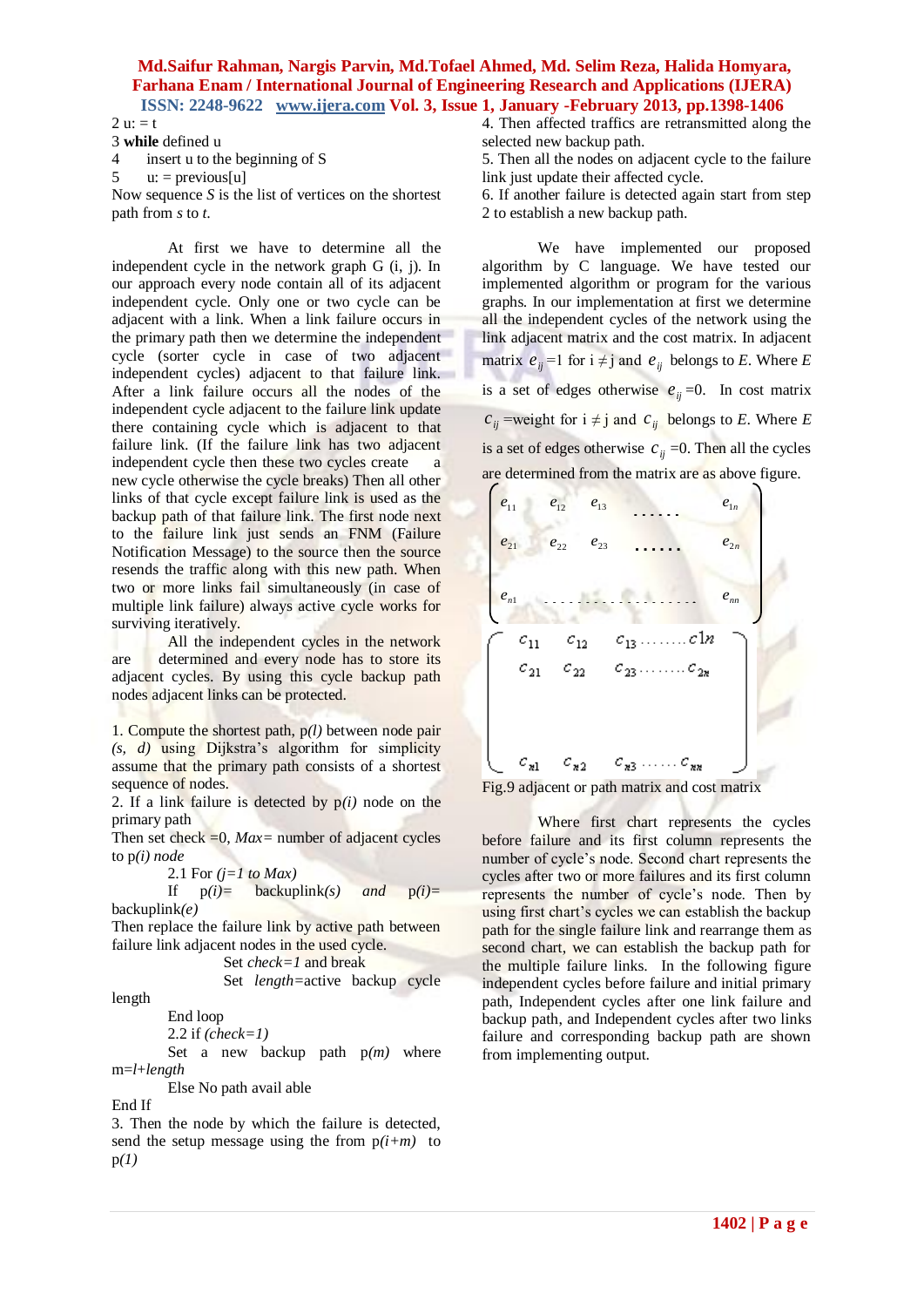$2 u: = t$ 

3 **while** defined u

4 insert u to the beginning of S

5  $u: = \text{previous}[u]$ 

Now sequence *S* is the list of vertices on the shortest path from *s* to *t*.

At first we have to determine all the independent cycle in the network graph G (i, j). In our approach every node contain all of its adjacent independent cycle. Only one or two cycle can be adjacent with a link. When a link failure occurs in the primary path then we determine the independent cycle (sorter cycle in case of two adjacent independent cycles) adjacent to that failure link. After a link failure occurs all the nodes of the independent cycle adjacent to the failure link update there containing cycle which is adjacent to that failure link. (If the failure link has two adjacent independent cycle then these two cycles create a new cycle otherwise the cycle breaks) Then all other links of that cycle except failure link is used as the backup path of that failure link. The first node next to the failure link just sends an FNM (Failure Notification Message) to the source then the source resends the traffic along with this new path. When two or more links fail simultaneously (in case of multiple link failure) always active cycle works for surviving iteratively.

All the independent cycles in the network are determined and every node has to store its adjacent cycles. By using this cycle backup path nodes adjacent links can be protected.

1. Compute the shortest path, p*(l)* between node pair *(s, d)* using Dijkstra's algorithm for simplicity assume that the primary path consists of a shortest sequence of nodes.

2. If a link failure is detected by  $p(i)$  node on the primary path

Then set check  $=0$ ,  $Max=$  number of adjacent cycles to p*(i) node*

2.1 For 
$$
(j=1 \text{ to } Max)
$$

If 
$$
p(i) =
$$
 backuplink(s) and  $p(i) =$  backuplink(e)

Then replace the failure link by active path between failure link adjacent nodes in the used cycle.

Set 
$$
check=I
$$
 and break  
Set  $length$ =active backup cycle

length

End loop

2.2 if *(check=1)*

 Set a new backup path p*(m)* where m=*l*+*length*

Else No path avail able

End If

3. Then the node by which the failure is detected, send the setup message using the from  $p(i+m)$  to p*(1)*

4. Then affected traffics are retransmitted along the selected new backup path.

5. Then all the nodes on adjacent cycle to the failure link just update their affected cycle.

6. If another failure is detected again start from step 2 to establish a new backup path.

We have implemented our proposed algorithm by C language. We have tested our implemented algorithm or program for the various graphs. In our implementation at first we determine all the independent cycles of the network using the link adjacent matrix and the cost matrix. In adjacent matrix  $e_{ij} = 1$  for  $i \neq j$  and  $e_{ij}$  belongs to *E*. Where *E* is a set of edges otherwise  $e_{ij} = 0$ . In cost matrix  $c_{ij}$  =weight for  $i \neq j$  and  $c_{ij}$  belongs to *E*. Where *E* is a set of edges otherwise  $c_{ij} = 0$ . Then all the cycles are determined from the matrix are as above figure.





Where first chart represents the cycles before failure and its first column represents the number of cycle's node. Second chart represents the cycles after two or more failures and its first column represents the number of cycle's node. Then by using first chart's cycles we can establish the backup path for the single failure link and rearrange them as second chart, we can establish the backup path for the multiple failure links. In the following figure independent cycles before failure and initial primary path, Independent cycles after one link failure and backup path, and Independent cycles after two links failure and corresponding backup path are shown from implementing output.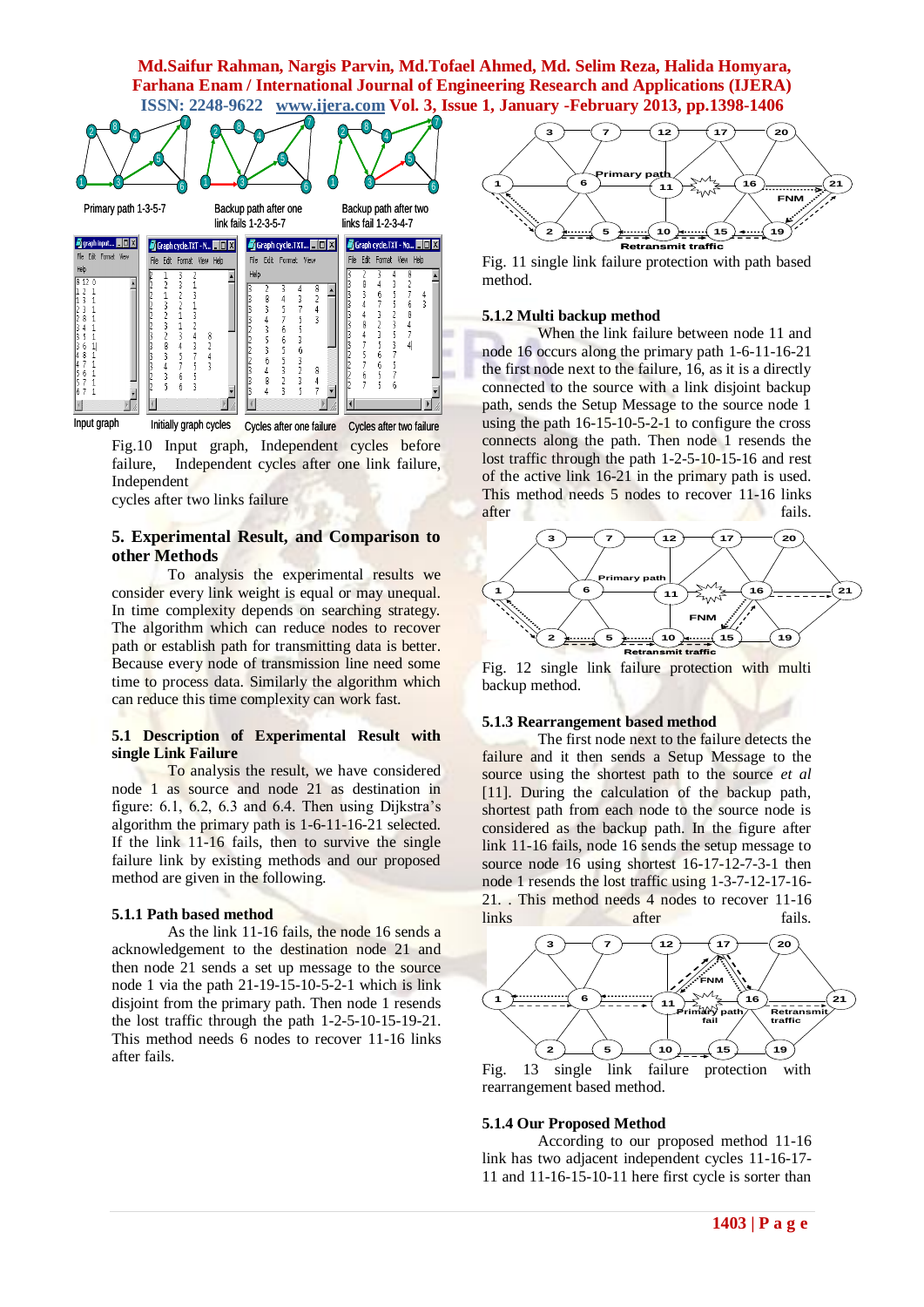

Fig.10 Input graph, Independent cycles before failure, Independent cycles after one link failure, Independent

cycles after two links failure

### **5. Experimental Result, and Comparison to other Methods**

To analysis the experimental results we consider every link weight is equal or may unequal. In time complexity depends on searching strategy. The algorithm which can reduce nodes to recover path or establish path for transmitting data is better. Because every node of transmission line need some time to process data. Similarly the algorithm which can reduce this time complexity can work fast.

#### **5.1 Description of Experimental Result with single Link Failure**

To analysis the result, we have considered node 1 as source and node 21 as destination in figure:  $6.1$ ,  $6.2$ ,  $6.3$  and  $6.4$ . Then using Dijkstra's algorithm the primary path is 1-6-11-16-21 selected. If the link 11-16 fails, then to survive the single failure link by existing methods and our proposed method are given in the following.

#### **5.1.1 Path based method**

As the link 11-16 fails, the node 16 sends a acknowledgement to the destination node 21 and then node 21 sends a set up message to the source node 1 via the path 21-19-15-10-5-2-1 which is link disjoint from the primary path. Then node 1 resends the lost traffic through the path 1-2-5-10-15-19-21. This method needs 6 nodes to recover 11-16 links after fails.



Fig. 11 single link failure protection with path based method.

#### **5.1.2 Multi backup method**

When the link failure between node 11 and node 16 occurs along the primary path 1-6-11-16-21 the first node next to the failure, 16, as it is a directly connected to the source with a link disjoint backup path, sends the Setup Message to the source node 1 using the path 16-15-10-5-2-1 to configure the cross connects along the path. Then node 1 resends the lost traffic through the path 1-2-5-10-15-16 and rest of the active link 16-21 in the primary path is used. This method needs 5 nodes to recover 11-16 links after fails.



Fig. 12 single link failure protection with multi backup method.

#### **5.1.3 Rearrangement based method**

The first node next to the failure detects the failure and it then sends a Setup Message to the source using the shortest path to the source *et al* [11]. During the calculation of the backup path, shortest path from each node to the source node is considered as the backup path. In the figure after link 11-16 fails, node 16 sends the setup message to source node 16 using shortest 16-17-12-7-3-1 then node 1 resends the lost traffic using 1-3-7-12-17-16- 21. . This method needs 4 nodes to recover 11-16 links after fails.



Fig. 13 single link failure protection with rearrangement based method.

#### **5.1.4 Our Proposed Method**

According to our proposed method 11-16 link has two adjacent independent cycles 11-16-17- 11 and 11-16-15-10-11 here first cycle is sorter than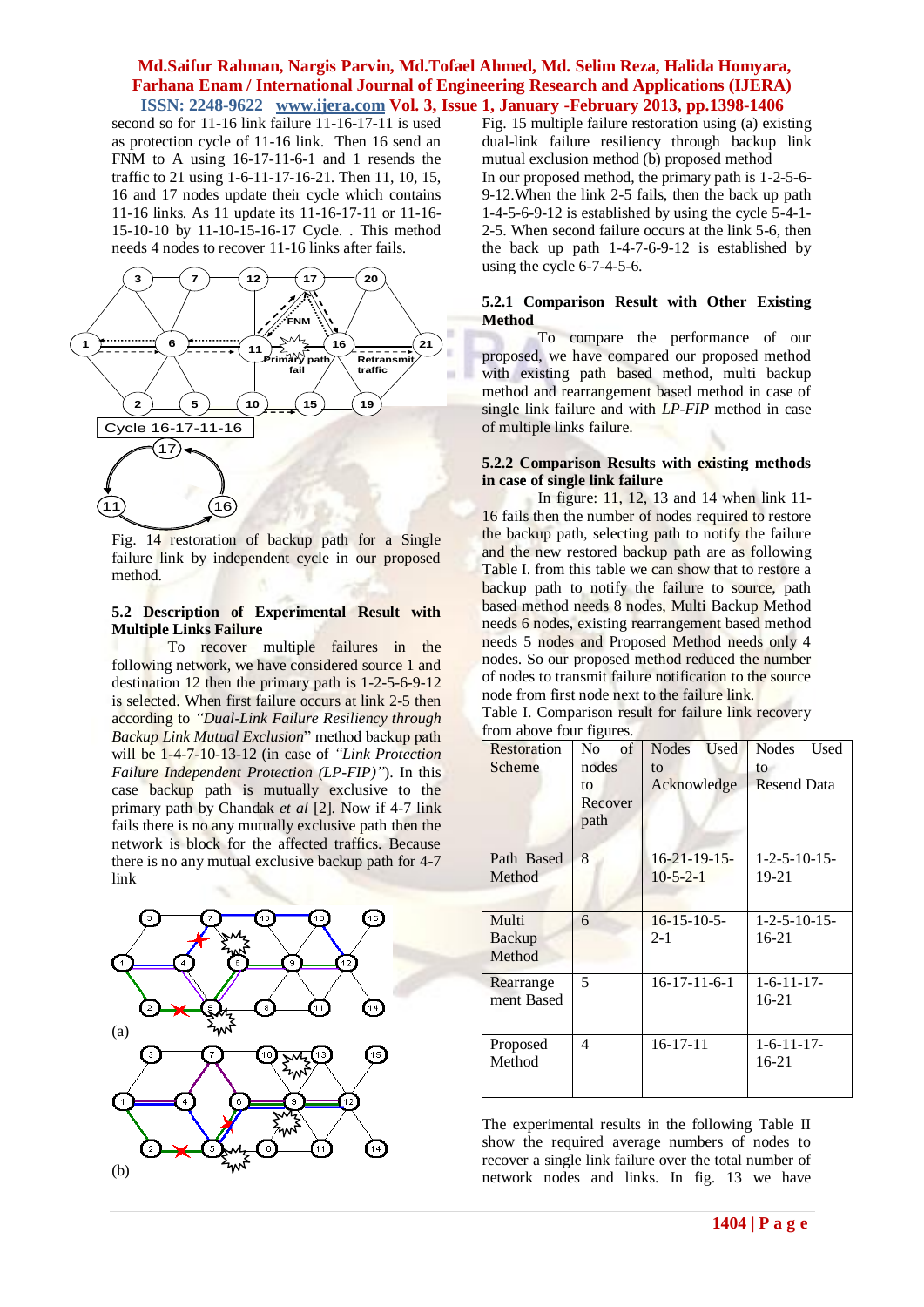second so for 11-16 link failure 11-16-17-11 is used as protection cycle of 11-16 link. Then 16 send an FNM to A using 16-17-11-6-1 and 1 resends the traffic to 21 using 1-6-11-17-16-21. Then 11, 10, 15, 16 and 17 nodes update their cycle which contains 11-16 links. As 11 update its 11-16-17-11 or 11-16- 15-10-10 by 11-10-15-16-17 Cycle. . This method needs 4 nodes to recover 11-16 links after fails.



Fig. 14 restoration of backup path for a Single failure link by independent cycle in our proposed method.

#### **5.2 Description of Experimental Result with Multiple Links Failure**

To recover multiple failures in the following network, we have considered source 1 and destination 12 then the primary path is 1-2-5-6-9-12 is selected. When first failure occurs at link 2-5 then according to *"Dual-Link Failure Resiliency through Backup Link Mutual Exclusion*" method backup path will be 1-4-7-10-13-12 (in case of *"Link Protection Failure Independent Protection (LP-FIP)"*). In this case backup path is mutually exclusive to the primary path by Chandak *et al* [2]. Now if 4-7 link fails there is no any mutually exclusive path then the network is block for the affected traffics. Because there is no any mutual exclusive backup path for 4-7 link



Fig. 15 multiple failure restoration using (a) existing dual-link failure resiliency through backup link mutual exclusion method (b) proposed method In our proposed method, the primary path is 1-2-5-6- 9-12.When the link 2-5 fails, then the back up path 1-4-5-6-9-12 is established by using the cycle 5-4-1- 2-5. When second failure occurs at the link 5-6, then the back up path 1-4-7-6-9-12 is established by using the cycle 6-7-4-5-6.

### **5.2.1 Comparison Result with Other Existing Method**

To compare the performance of our proposed, we have compared our proposed method with existing path based method, multi backup method and rearrangement based method in case of single link failure and with *LP-FIP* method in case of multiple links failure.

### **5.2.2 Comparison Results with existing methods in case of single link failure**

In figure: 11, 12, 13 and 14 when link 11- 16 fails then the number of nodes required to restore the backup path, selecting path to notify the failure and the new restored backup path are as following Table I. from this table we can show that to restore a backup path to notify the failure to source, path based method needs 8 nodes, Multi Backup Method needs 6 nodes, existing rearrangement based method needs 5 nodes and Proposed Method needs only 4 nodes. So our proposed method reduced the number of nodes to transmit failure notification to the source node from first node next to the failure link.

| $10m$ above four figures. |                      |                             |                       |
|---------------------------|----------------------|-----------------------------|-----------------------|
| Restoration               | N <sub>0</sub><br>of | <b>Used</b><br><b>Nodes</b> | <b>Nodes</b><br>Used  |
| Scheme                    | nodes                | to                          | to                    |
|                           | to                   | Acknowledge                 | <b>Resend Data</b>    |
|                           | Recover              |                             |                       |
|                           | path                 |                             |                       |
|                           |                      |                             |                       |
| Path Based                | 8                    | $16 - 21 - 19 - 15$         | $1 - 2 - 5 - 10 - 15$ |
| Method                    |                      | $10-5-2-1$                  | $19 - 21$             |
|                           |                      |                             |                       |
| Multi                     | 6                    | $16 - 15 - 10 - 5$          | $1 - 2 - 5 - 10 - 15$ |
| Backup                    |                      | $2 - 1$                     | 16-21                 |
| Method                    |                      |                             |                       |
| Rearrange                 | 5                    | $16 - 17 - 11 - 6 - 1$      | $1 - 6 - 11 - 17$     |
| ment Based                |                      |                             | $16 - 21$             |
|                           |                      |                             |                       |
| Proposed                  | 4                    | $16 - 17 - 11$              | $1 - 6 - 11 - 17$     |
| Method                    |                      |                             | 16-21                 |
|                           |                      |                             |                       |
|                           |                      |                             |                       |

Table I. Comparison result for failure link recovery from above four figures.

The experimental results in the following Table II show the required average numbers of nodes to recover a single link failure over the total number of network nodes and links. In fig. 13 we have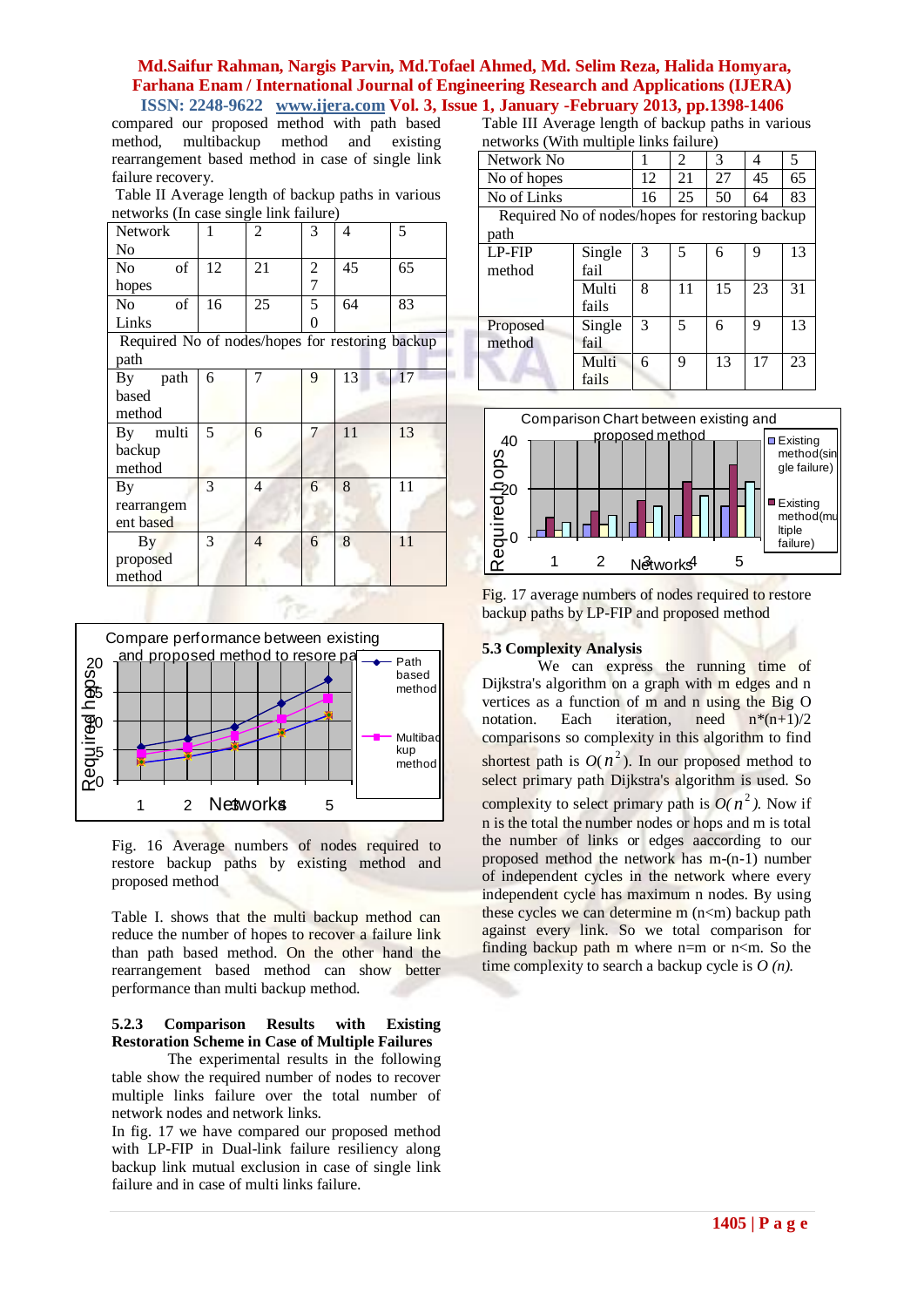compared our proposed method with path based method, multibackup method and existing rearrangement based method in case of single link failure recovery.

Table II Average length of backup paths in various networks (In case single link failure)

| Network                                         | 1  | $\overline{2}$ | 3              | 4  | 5  |
|-------------------------------------------------|----|----------------|----------------|----|----|
| No                                              |    |                |                |    |    |
| of<br>No                                        | 12 | 21             | 2              | 45 | 65 |
| hopes                                           |    |                | $\overline{7}$ |    |    |
| of<br>No                                        | 16 | 25             | 5              | 64 | 83 |
| Links                                           |    |                | $\theta$       |    |    |
| Required No of nodes/hopes for restoring backup |    |                |                |    |    |
| path                                            |    |                |                |    |    |
| path<br>By                                      | 6  |                | 9              | 13 | 17 |
| based                                           |    |                |                |    |    |
| method                                          |    |                |                |    |    |
| multi<br>By                                     | 5  | 6              | 7              | 11 | 13 |
| backup                                          |    |                |                |    |    |
| method                                          |    |                |                |    |    |
| By                                              | 3  | $\overline{4}$ | 6              | 8  | 11 |
| rearrangem                                      |    |                |                |    |    |
| ent based                                       |    |                |                |    |    |
| By                                              | 3  | 4              | 6              | 8  | 11 |
| proposed                                        |    |                |                |    |    |
| method                                          |    |                |                |    |    |



Fig. 16 Average numbers of nodes required to restore backup paths by existing method and proposed method

Table I. shows that the multi backup method can reduce the number of hopes to recover a failure link than path based method. On the other hand the rearrangement based method can show better performance than multi backup method.

### **5.2.3 Comparison Results with Existing Restoration Scheme in Case of Multiple Failures**

The experimental results in the following table show the required number of nodes to recover multiple links failure over the total number of network nodes and network links.

In fig. 17 we have compared our proposed method with LP-FIP in Dual-link failure resiliency along backup link mutual exclusion in case of single link failure and in case of multi links failure.

Table III Average length of backup paths in various networks (With multiple links failure)

| $\mathbf{m}{\mathbf{c}}$ . The contract of $\mathbf{m}{\mathbf{c}}$ in $\mathbf{m}{\mathbf{c}}$ in $\mathbf{c}$ |        |    |    |    |    |    |
|-----------------------------------------------------------------------------------------------------------------|--------|----|----|----|----|----|
| Network No                                                                                                      |        |    | 2  | 3  | 4  | 5  |
| No of hopes                                                                                                     |        | 12 | 21 | 27 | 45 | 65 |
| No of Links                                                                                                     |        | 16 | 25 | 50 | 64 | 83 |
| Required No of nodes/hopes for restoring backup                                                                 |        |    |    |    |    |    |
| path                                                                                                            |        |    |    |    |    |    |
| <b>LP-FIP</b>                                                                                                   | Single | 3  | 5  | 6  | 9  | 13 |
| method                                                                                                          | fail   |    |    |    |    |    |
|                                                                                                                 | Multi  | 8  | 11 | 15 | 23 | 31 |
|                                                                                                                 | fails  |    |    |    |    |    |
| Proposed                                                                                                        | Single | 3  | 5  | 6  | 9  | 13 |
| method                                                                                                          | fail   |    |    |    |    |    |
|                                                                                                                 | Multi  | 6  | 9  | 13 | 17 | 23 |
|                                                                                                                 | fails  |    |    |    |    |    |



Fig. 17 average numbers of nodes required to restore backup paths by LP-FIP and proposed method

### **5.3 Complexity Analysis**

We can express the running time of Dijkstra's algorithm on a graph with m edges and n vertices as a function of m and n using the Big O notation. Each iteration, need  $n*(n+1)/2$ comparisons so complexity in this algorithm to find shortest path is  $O(n^2)$ . In our proposed method to select primary path Dijkstra's algorithm is used. So complexity to select primary path is  $O(n^2)$ . Now if n is the total the number nodes or hops and m is total the number of links or edges aaccording to our proposed method the network has m-(n-1) number of independent cycles in the network where every independent cycle has maximum n nodes. By using these cycles we can determine  $m(n<sub>cm</sub>)$  backup path against every link. So we total comparison for finding backup path m where  $n=m$  or  $n\leq m$ . So the time complexity to search a backup cycle is *O (n).*